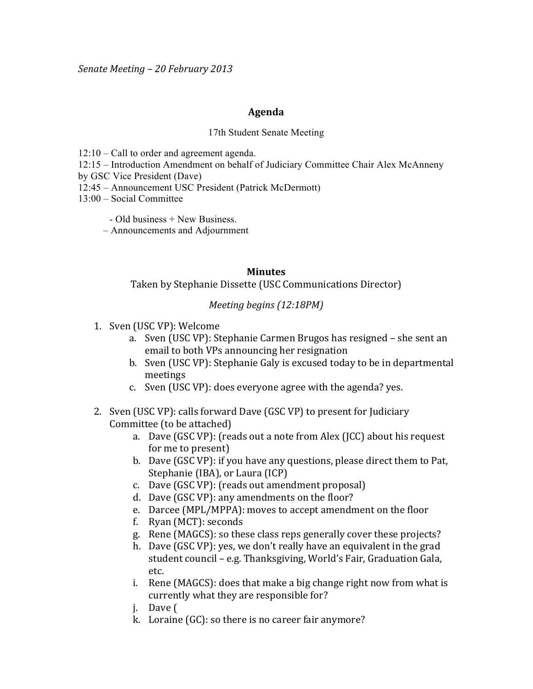## **Agenda**

## 17th Student Senate Meeting

12:10 – Call to order and agreement agenda.

12:15 – Introduction Amendment on behalf of Judiciary Committee Chair Alex McAnneny

by GSC Vice President (Dave)

- 12:45 Announcement USC President (Patrick McDermott)
- 13:00 Social Committee

- Old business + New Business.

– Announcements and Adjournment

## **Minutes**

Taken by Stephanie Dissette (USC Communications Director)

## *Meeting begins (12:18PM)*

- 1. Sven (USC VP): Welcome
	- a. Sven (USC VP): Stephanie Carmen Brugos has resigned she sent an email to both VPs announcing her resignation
	- b. Sven (USC VP): Stephanie Galy is excused today to be in departmental meetings
	- c. Sven (USC VP): does everyone agree with the agenda? yes.
- 2. Sven (USC VP): calls forward Dave (GSC VP) to present for Judiciary Committee (to be attached)
	- a. Dave (GSC VP): (reads out a note from Alex (JCC) about his request for me to present)
	- b. Dave (GSC VP): if you have any questions, please direct them to Pat, Stephanie (IBA), or Laura (ICP)
	- c. Dave (GSC VP): (reads out amendment proposal)
	- d. Dave (GSC VP): any amendments on the floor?
	- e. Darcee (MPL/MPPA): moves to accept amendment on the floor
	- f. Ryan  $(MCT)$ : seconds
	- g. Rene (MAGCS): so these class reps generally cover these projects?
	- h. Dave (GSC VP): yes, we don't really have an equivalent in the grad student council – e.g. Thanksgiving, World's Fair, Graduation Gala, etc.
	- i. Rene (MAGCS): does that make a big change right now from what is currently what they are responsible for?
	- j. Dave (
	- k. Loraine  $(GC)$ : so there is no career fair anymore?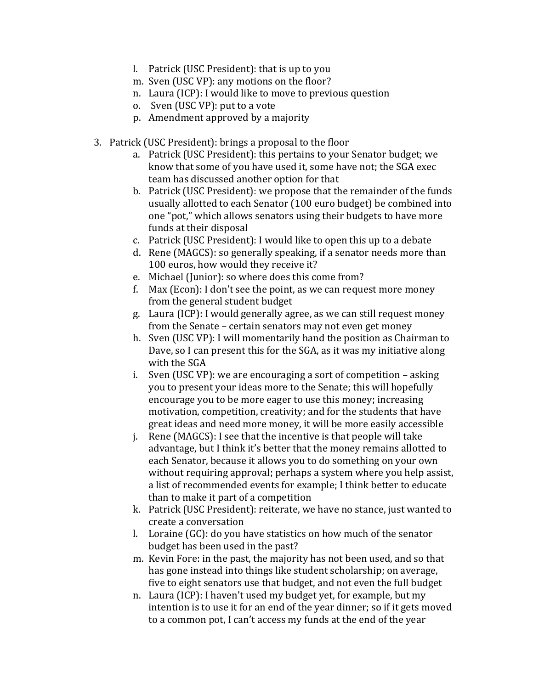- l. Patrick (USC President): that is up to you
- m. Sven (USC VP): any motions on the floor?
- n. Laura (ICP): I would like to move to previous question
- o. Sven (USC VP): put to a vote
- p. Amendment approved by a majority
- 3. Patrick (USC President): brings a proposal to the floor
	- a. Patrick (USC President): this pertains to your Senator budget; we know that some of you have used it, some have not; the SGA exec team has discussed another option for that
	- b. Patrick (USC President): we propose that the remainder of the funds usually allotted to each Senator (100 euro budget) be combined into one "pot," which allows senators using their budgets to have more funds at their disposal
	- c. Patrick (USC President): I would like to open this up to a debate
	- d. Rene (MAGCS): so generally speaking, if a senator needs more than 100 euros, how would they receive it?
	- e. Michael (Junior): so where does this come from?
	- f. Max (Econ): I don't see the point, as we can request more money from the general student budget
	- g. Laura (ICP): I would generally agree, as we can still request money from the Senate – certain senators may not even get money
	- h. Sven (USC VP): I will momentarily hand the position as Chairman to Dave, so I can present this for the SGA, as it was my initiative along with the SGA
	- i. Sven (USC VP): we are encouraging a sort of competition asking you to present your ideas more to the Senate; this will hopefully encourage you to be more eager to use this money; increasing motivation, competition, creativity; and for the students that have great ideas and need more money, it will be more easily accessible
	- j. Rene (MAGCS): I see that the incentive is that people will take advantage, but I think it's better that the money remains allotted to each Senator, because it allows you to do something on your own without requiring approval; perhaps a system where you help assist, a list of recommended events for example; I think better to educate than to make it part of a competition
	- k. Patrick (USC President): reiterate, we have no stance, just wanted to create a conversation
	- l. Loraine  $(GC)$ : do you have statistics on how much of the senator budget has been used in the past?
	- m. Kevin Fore: in the past, the majority has not been used, and so that has gone instead into things like student scholarship; on average, five to eight senators use that budget, and not even the full budget
	- n. Laura (ICP): I haven't used my budget yet, for example, but my intention is to use it for an end of the year dinner; so if it gets moved to a common pot, I can't access my funds at the end of the year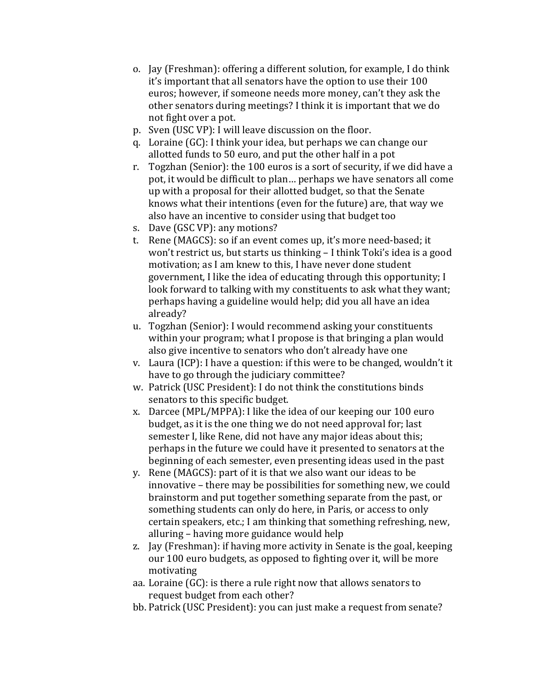- o. Jay (Freshman): offering a different solution, for example, I do think it's important that all senators have the option to use their 100 euros; however, if someone needs more money, can't they ask the other senators during meetings? I think it is important that we do not fight over a pot.
- p. Sven (USC VP): I will leave discussion on the floor.
- q. Loraine  $(GC)$ : I think your idea, but perhaps we can change our allotted funds to 50 euro, and put the other half in a pot
- r. Togzhan (Senior): the 100 euros is a sort of security, if we did have a pot, it would be difficult to plan... perhaps we have senators all come up with a proposal for their allotted budget, so that the Senate knows what their intentions (even for the future) are, that way we also have an incentive to consider using that budget too
- s. Dave (GSC VP): any motions?
- t. Rene (MAGCS): so if an event comes up, it's more need-based; it won't restrict us, but starts us thinking – I think Toki's idea is a good motivation; as I am knew to this, I have never done student government, I like the idea of educating through this opportunity; I look forward to talking with my constituents to ask what they want; perhaps having a guideline would help; did you all have an idea already?
- u. Togzhan (Senior): I would recommend asking your constituents within your program; what I propose is that bringing a plan would also give incentive to senators who don't already have one
- v. Laura (ICP): I have a question: if this were to be changed, wouldn't it have to go through the judiciary committee?
- w. Patrick (USC President): I do not think the constitutions binds senators to this specific budget.
- x. Darcee (MPL/MPPA): I like the idea of our keeping our 100 euro budget, as it is the one thing we do not need approval for; last semester I, like Rene, did not have any major ideas about this; perhaps in the future we could have it presented to senators at the beginning of each semester, even presenting ideas used in the past
- y. Rene (MAGCS): part of it is that we also want our ideas to be innovative – there may be possibilities for something new, we could brainstorm and put together something separate from the past, or something students can only do here, in Paris, or access to only certain speakers, etc.; I am thinking that something refreshing, new, alluring – having more guidance would help
- z. Jay (Freshman): if having more activity in Senate is the goal, keeping our 100 euro budgets, as opposed to fighting over it, will be more motivating
- aa. Loraine (GC): is there a rule right now that allows senators to request budget from each other?
- bb. Patrick (USC President): you can just make a request from senate?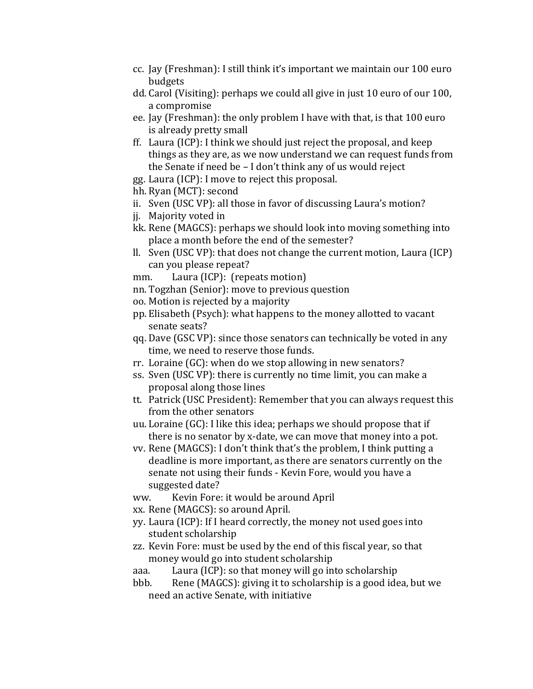- cc. Jay (Freshman): I still think it's important we maintain our 100 euro budgets
- dd. Carol (Visiting): perhaps we could all give in just 10 euro of our 100, a compromise
- ee. Jay (Freshman): the only problem I have with that, is that 100 euro is already pretty small
- ff. Laura (ICP): I think we should just reject the proposal, and keep things as they are, as we now understand we can request funds from the Senate if need be  $- I$  don't think any of us would reject
- gg. Laura (ICP): I move to reject this proposal.
- hh. Ryan (MCT): second
- ii. Sven (USC VP): all those in favor of discussing Laura's motion?
- ji. Majority voted in
- kk. Rene (MAGCS): perhaps we should look into moving something into place a month before the end of the semester?
- ll. Sven (USC VP): that does not change the current motion, Laura (ICP) can you please repeat?
- mm. Laura (ICP): (repeats motion)
- nn. Togzhan (Senior): move to previous question
- oo. Motion is rejected by a majority
- pp. Elisabeth (Psych): what happens to the money allotted to vacant senate seats?
- qq. Dave (GSC VP): since those senators can technically be voted in any time, we need to reserve those funds.
- rr. Loraine  $(GC)$ : when do we stop allowing in new senators?
- ss. Sven (USC VP): there is currently no time limit, you can make a proposal along those lines
- tt. Patrick (USC President): Remember that you can always request this from the other senators
- uu. Loraine (GC): I like this idea; perhaps we should propose that if there is no senator by x-date, we can move that money into a pot.
- vv. Rene (MAGCS): I don't think that's the problem, I think putting a deadline is more important, as there are senators currently on the senate not using their funds - Kevin Fore, would you have a suggested date?
- ww. Kevin Fore: it would be around April
- xx. Rene (MAGCS): so around April.
- yy. Laura (ICP): If I heard correctly, the money not used goes into student scholarship
- zz. Kevin Fore: must be used by the end of this fiscal year, so that money would go into student scholarship
- aaa. Laura (ICP): so that money will go into scholarship
- bbb. Rene (MAGCS): giving it to scholarship is a good idea, but we need an active Senate, with initiative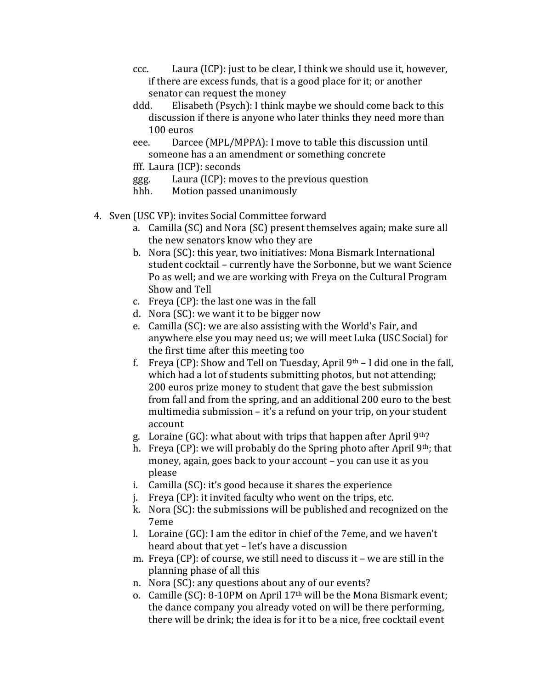- ccc. Laura (ICP): just to be clear, I think we should use it, however, if there are excess funds, that is a good place for it; or another senator can request the money
- ddd. Elisabeth (Psych): I think maybe we should come back to this discussion if there is anyone who later thinks they need more than 100 euros
- eee. Darcee (MPL/MPPA): I move to table this discussion until someone has a an amendment or something concrete

fff. Laura (ICP): seconds

ggg. Laura (ICP): moves to the previous question

hhh. Motion passed unanimously

- 4. Sven (USC VP): invites Social Committee forward
	- a. Camilla (SC) and Nora (SC) present themselves again; make sure all the new senators know who they are
	- b. Nora (SC): this year, two initiatives: Mona Bismark International student cocktail – currently have the Sorbonne, but we want Science Po as well; and we are working with Freya on the Cultural Program Show and Tell
	- c. Freya  $(CP)$ : the last one was in the fall
	- d. Nora  $(SC)$ : we want it to be bigger now
	- e. Camilla (SC): we are also assisting with the World's Fair, and anywhere else you may need us; we will meet Luka (USC Social) for the first time after this meeting too
	- f. Freya (CP): Show and Tell on Tuesday, April  $9<sup>th</sup> I$  did one in the fall, which had a lot of students submitting photos, but not attending; 200 euros prize money to student that gave the best submission from fall and from the spring, and an additional 200 euro to the best multimedia submission – it's a refund on your trip, on your student account
	- g. Loraine (GC): what about with trips that happen after April  $9<sup>th</sup>$ ?
	- h. Freya (CP): we will probably do the Spring photo after April 9th; that money, again, goes back to your account – you can use it as you please
	- i. Camilla  $(SC)$ : it's good because it shares the experience
	- j. Freya  $(CP)$ : it invited faculty who went on the trips, etc.
	- k. Nora (SC): the submissions will be published and recognized on the 7eme
	- l. Loraine  $(GC)$ : I am the editor in chief of the 7eme, and we haven't heard about that yet – let's have a discussion
	- m. Freya (CP): of course, we still need to discuss it we are still in the planning phase of all this
	- n. Nora (SC): any questions about any of our events?
	- o. Camille (SC): 8-10PM on April 17<sup>th</sup> will be the Mona Bismark event; the dance company you already voted on will be there performing, there will be drink; the idea is for it to be a nice, free cocktail event